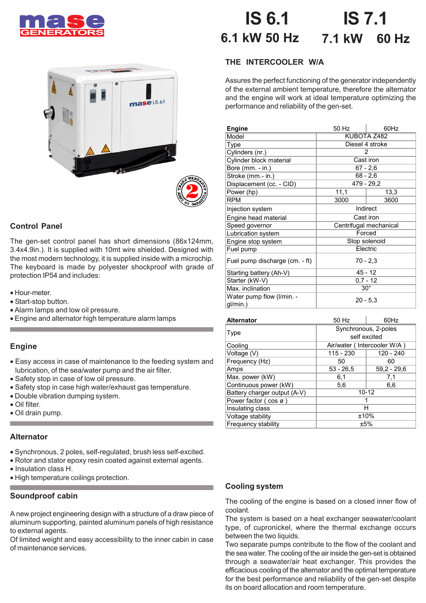





# **Control Panel**

The gen-set control panel has short dimensions (86x124mm, 3.4x4.9in.). It is supplied with 10mt wire shielded. Designed with the most modern technology, it is supplied inside with a microchip. The keyboard is made by polyester shockproof with grade of protection IP54 and includes:

- Hour-meter.
- Start-stop button.
- Alarm lamps and low oil pressure.
- Engine and alternator high temperature alarm lamps

## **Engine**

- Easy access in case of maintenance to the feeding system and lubrication, of the sea/water pump and the air filter.
- Safety stop in case of low oil pressure.
- Safety stop in case high water/exhaust gas temperature.
- Double vibration dumping system.
- Oil filter.
- Oil drain pump.

#### **Alternator**

- Synchronous, 2 poles, self-regulated, brush less self-excited.
- Rotor and stator epoxy resin coated against external agents.
- Insulation class H.
- High temperature coilings protection.

#### **Soundproof cabin**

A new project engineering design with a structure of a draw piece of aluminum supporting, painted aluminum panels of high resistance to external agents.

Of limited weight and easy accessibility to the inner cabin in case of maintenance services.

#### **IS 7.1 7.1 kW 60 Hz IS 6.1 6.1 kW 50 Hz**

# **THE INTERCOOLER W/A**

Assures the perfect functioning of the generator independently of the external ambient temperature, therefore the alternator and the engine will work at ideal temperature optimizing the performance and reliability of the gen-set.

| <b>Engine</b>                         | 50 Hz                  | 60Hz |  |
|---------------------------------------|------------------------|------|--|
| Model                                 | KUBOTA Z482            |      |  |
| Type                                  | Diesel 4 stroke        |      |  |
| Cylinders (nr.)                       | 2                      |      |  |
| Cylinder block material               | Cast iron              |      |  |
| Bore (mm. - in.)                      | $67 - 2,6$             |      |  |
| Stroke (mm.- in.)                     | $68 - 2,6$             |      |  |
| Displacement (cc. - CID)              | 479 - 29,2             |      |  |
| Power (hp)                            | 11,1                   | 13,3 |  |
| <b>RPM</b>                            | 3000                   | 3600 |  |
| Injection system                      | Indirect               |      |  |
| Engine head material                  | Cast iron              |      |  |
| Speed governor                        | Centrifugal mechanical |      |  |
| Lubrication system                    | Forced                 |      |  |
| Engine stop system                    | Stop solenoid          |      |  |
| Fuel pump                             | Electric               |      |  |
| Fuel pump discharge (cm. - ft)        | $70 - 2.3$             |      |  |
| Starting battery (Ah-V)               | $45 - 12$              |      |  |
| Starter (kW-V)                        | $0.7 - 12$             |      |  |
| Max. inclination                      | $30^{\circ}$           |      |  |
| Water pump flow (I/min. -<br>gl/min.) | $20 - 5.3$             |      |  |

| <b>Alternator</b>            | 50 Hz                       | 60Hz          |  |  |
|------------------------------|-----------------------------|---------------|--|--|
|                              | Synchronous, 2-poles        |               |  |  |
| Type                         | self excited                |               |  |  |
| Cooling                      | Air/water (Intercooler W/A) |               |  |  |
| Voltage (V)                  | 115 - 230                   | 120 - 240     |  |  |
| Frequency (Hz)               | 50                          | 60            |  |  |
| Amps                         | $53 - 26.5$                 | $59.2 - 29.6$ |  |  |
| Max. power (kW)              | 6,1                         | 7,1           |  |  |
| Continuous power (kW)        | 5,6                         | 6,6           |  |  |
| Battery charger output (A-V) | $10 - 12$                   |               |  |  |
| Power factor (cos ø)         |                             |               |  |  |
| Insulating class             | н                           |               |  |  |
| Voltage stability            | ±10%                        |               |  |  |
| Frequency stability          | ±5%                         |               |  |  |

## **Cooling system**

The cooling of the engine is based on a closed inner flow of coolant.

The system is based on a heat exchanger seawater/coolant type, of cupronickel, where the thermal exchange occurs between the two liquids.

Two separate pumps contribute to the flow of the coolant and the sea water. The cooling of the air inside the gen-set is obtained through a seawater/air heat exchanger. This provides the efficacious cooling of the alternator and the optimal temperature for the best performance and reliability of the gen-set despite its on board allocation and room temperature.